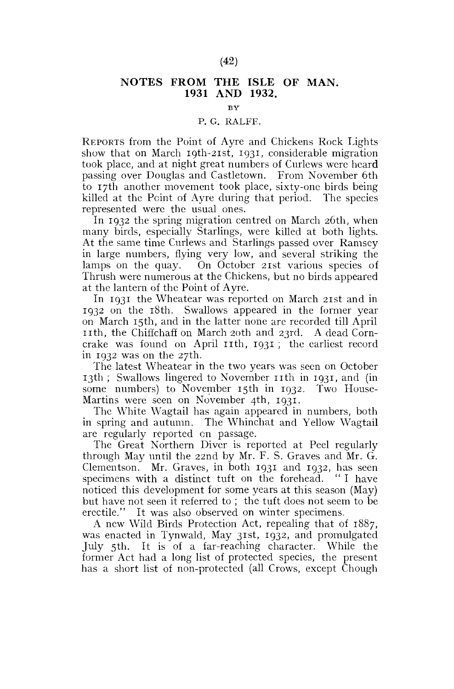## **NOTES FROM THE ISLE OF MAN. 1931 AND 1932.**

**BY** 

## P. G. RALFE.

REPORTS from the Point of Ayre and Chickens Rock Lights show that on March 19th-21st, 1931, considerable migration took place, and at night great numbers of Curlews were heard passing over Douglas and Castletown. From November 6th to 17th another movement took place, sixty-one birds being killed at the Point of Ayre during that period. The species represented were the usual ones.

In 1932 the spring migration centred on March 26th, when many birds, especially Starlings, were killed at both lights. At the same time Curlews and Starlings passed over Ramsey in large numbers, flying very low, and several striking the lamps on the quay. On October 21st various species of Thrush were numerous at the Chickens, but no birds appeared at the lantern of the Point of Ayre.

In 1931 the Wheatear was reported on March 21st and in 1932 on the 18th. Swallows appeared in the former year on March 15th, and in the latter none are recorded till April nth , the Chiffchaff on March 20th and 23rd. A dead Corncrake was found on April 11th, 1931; the earliest record in 1932 was on the 27th.

The latest Wheatear in the two years was seen on October 13th; Swallows lingered to November 11th in 1931, and (in some numbers) to November 15th in 1932. Two House-Martins were seen on November 4th, 1931.

The White Wagtail has again appeared in numbers, both in spring and autumn. The Whinchat and Yellow Wagtail are regularly reported on passage.

The Great Northern Diver is reported at Peel regularly through May until the 22nd by Mr. F. S. Graves and Mr. G. Clementson. Mr. Graves, in both 1931 and 1932, has seen specimens with a distinct tuft on the forehead. " I have noticed this development for some years at this season (May) but have not seen it referred to ; the tuft does not seem to be erectile." It was also observed on winter specimens.

A new Wild Birds Protection Act, repealing that of 1887, was enacted in Tynwald, May 31st, 1932, and promulgated July 5th. It is of a far-reaching character. While the former Act had a long list of protected species, the present has a short list of non-protected (all Crows, except Chough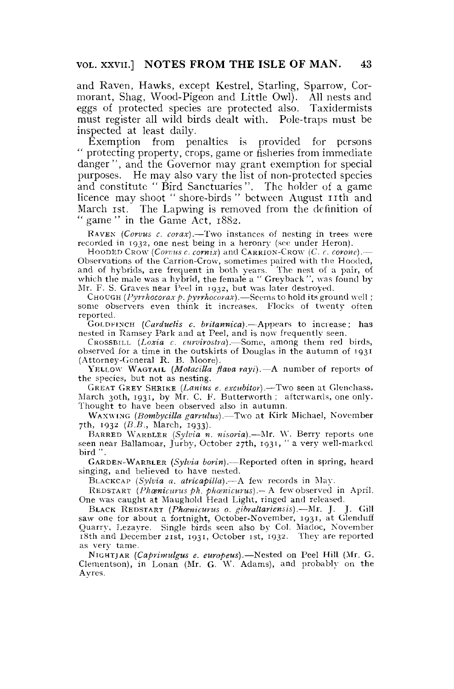and Raven, Hawks, except Kestrel, Starling, Sparrow, Cormorant, Shag, Wood-Pigeon and Little Owl). All nests and eggs of protected species are protected also. Taxidermists must register all wild birds dealt with. Pole-traps must be inspected at least daily.

Exemption from penalties is provided for persons " protecting property, crops, game or fisheries from immediate danger", and the Governor may grant exemption for special purposes. He may also vary the list of non-protected species and constitute " Bird Sanctuaries". The holder of a game licence may shoot " shore-birds " between August 11th and March ist. The Lapwing is removed from the definition of " game " in the Game Act, 1882.

RAVEN *(Corvus c. corax)*.—Two instances of nesting in trees were recorded in 1932, one nest being in a heronry (see under Heron).

HOODED CROW *(Corvus c. comix)* and CARRION-CROW *(C. C. corone).*— Observations of the Carrion-Crow, sometimes paired with the Hooded, and of hybrids, are frequent in both years. The nest of a pair, of which the male was a hybrid, the female a "Greyback", was found by-Mr. F. S. Graves near Peel in 1932, but was later destroyed.

CHOUGH *(Pyrrhocoraxp. pyrrhocorax).*—Seems to hold its ground well ; some observers even think it increases. Flocks of twenty often reported.

GOLDKINCH *(Carduelis c. britannica).*—Appears to increase; has nested in Ramsey Park and at Peel, and is now frequently seen.

CROSSBILL *(Loxia c. curvirostra).*—Some, among them red birds, observed for a time in the outskirts of Douglas in the autumn of 1931 (Attorney-General R. B. Moore).

YELLOW WAGTAIL *(Motacilla flava rayi).*—A number of reports of the species, but not as nesting.

GREAT GREY SHRIKE *(Lanius e. excubitor).*—Two seen at Glenchass, March 30th, 1931, by Mr. C. F. Butterworth; afterwards, one only. Thought to have been observed also in autumn.

W AX WING *(Bombycilla garrulus).*—Two at Kirk Michael, November 7th, 1932 *(B.B.,* March, 1933).

BARRED WARBLER *(Sylvia n. nisoria).*—Mr. W. Berry reports one seen near Ballamoar, Jurby, October 27th, 1931, " a very well-marked bird" .

GARDEN-WARBLER *(Sylvia boriri).*—Reported often in spring, heard singing, and believed to have nested.

BLACKCAP *(Sylvia a. atricapilla).*—A few records in May.

REDSTART *(Phoenicurus ph. phcenicurus).—* A few observed in April, One was caught at Maughold Head Light, ringed and released.

BLACK REDSTART *(Phcenicurus 0. gibraltariensis).*—Mr. J. J. Gill saw one for about a fortnight, October-November, 1931, at Glenduff Quarry. Lezayre. Single birds seen also by Col. Madoc, November 18th and December 21st, 1931, October ist, 1932. They are reported as very tame.

NIGHTJAR *(Caprimulgus e. europeus).*—Nested on Peel Hill (Mr. G. Clementson), in Lonan (Mr. G. W. Adams), and probably on the Ay res.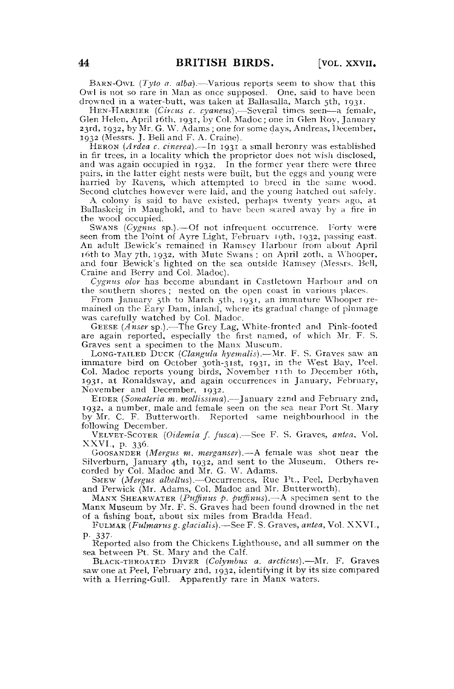BARN-OWL (Tyto a. alba).—Various reports seem to show that this Owl is not so rare in Man as once supposed. One, said to have been drowned in a water-butt, was taken at Ballasalla, March 5th, 1931.

HEN-HARRIER *{Circus c. cyaneus).*—Several times seen—a female, Glen Helen, April 16th, 1931, by Col. Madoc ; one in Glen Roy, January 23rd, 1932, by Mr. G. W. Adams; one for some days, Andreas, December, 1932 (Messrs. J. Bell and F. A. Craine).

HERON *(Ardea c. cinerea).*—In 1931 a small heronry was established in fir trees, in a locality which the proprietor does not wish disclosed, and was again occupied in 1932. In the former year there were three pairs, in the latter eight nests were built, but the eggs and young were harried by Ravens, which attempted to breed in the same wood. Second clutches however were laid, and the young hatched out safely.

A colony is said to have existed, perhaps twenty years ago, at Ballaskeig in Maughold, and to have been scared away by a fire in the wood occupied.

SWANS *(Cygnus* sp.).—Of not infrequent occurrence. Forty were seen from the Point of Ayre Light, February 19th, 1932, passing east. An adult Bewick's remained in Ramsey Harbour from about April 16th to May 7th, 1932, with Mute Swans ; on April 20th, a Whooper, and four Bewick's lighted on the sea outside Ramsey (Messrs. Bell, Craine and Berry and Col. Madoc).

*Cygnus olor* has become abundant in Castletown Harbour and on the southern shores ; nested on the open coast in various places.

From January 5th to March 5th, 1931, an immature Whooper remained on the Eary Dam, inland, where its gradual change of plumage was carefully watched by Col. Madoc.

GEESE *(Anser* sp.).—The Grey Lag, White-fronted and Pink-footed are again reported, especially the first named, of which Mr. F. S. Graves sent a specimen to the Manx Museum.

LONG-TAILED DUCK *(Clangula hyemails).*—Mr. F. S. Graves saw an immature bird on October 3oth-3ist, 1931, in the West Bay, Peel. Col. Madoc reports young birds, November nt h to December 16th, 1931, at Ronaldsway, and again occurrences in January, February, November and December, 1932.

EIDER *(Somateria m. mollissima).*—January 22nd and February 2nd, 1932, a number, male and female seen on the sea near Port St. Mary by Mr. C. F. Butterworth. Reported same neighbourhood in the following December.

VELVET-SCOTER *(Oidemia f. fusca).*—See F. S. Graves, *antea.* Vol. XXVI., p. 336.

GOOSANDER *(Mergus m, merganser).*—A female was shot near the Silverbum, January 4th, 1932, and sent to the Museum. Others recorded by Col. Madoc and Mr. G. W. Adams.

SMEW *(Mergus albettus).*—Occurrences, Rue Pt., Peel, Derbyhaven and Perwick (Mr. Adams, Col. Madoc and Mr. Butterworth).

MANX SHEARWATER *(Puffinus p. puffinus).*—A specimen sent to the Manx Museum by Mr. F. S. Graves had been found drowned in the net of a fishing boat, about six miles from Bradda Head.

FULMAR *(Fulmarus g. glaciatis).*—See F. S. Graves, *antea,* Vol. XXVL, P- 337-

Reported also from the Chickens Lighthouse, and all summer on the sea between Pt. St. Mary and the Calf.

BLACK-THROATED DIVER *(Colymbus a. arcticus).*—Mr. F. Graves saw one at Peel, February 2nd, 1932, identifying it by its size compared with a Herring-Gull. Apparently rare in Manx waters.